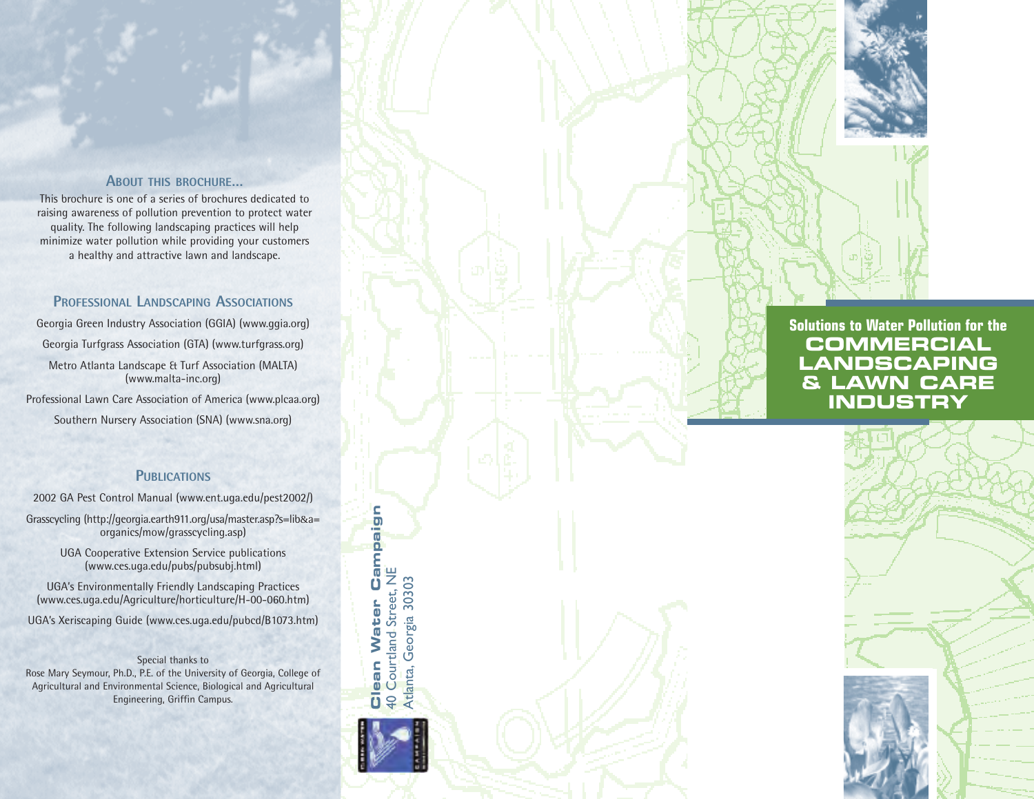#### **ABOUT THIS BROCHURE...**

This brochure is one of a series of brochures dedicated to raising awareness of pollution prevention to protect water quality. The following landscaping practices will help minimize water pollution while providing your customers a healthy and attractive lawn and landscape.

## PROFESSIONAL LANDSCAPING ASSOCIATIONS

Georgia Green Industry Association (GGIA) (www.ggia.org) Georgia Turfgrass Association (GTA) (www.turfgrass.org) Metro Atlanta Landscape & Turf Association (MALTA) (www.malta-inc.org)

Professional Lawn Care Association of America (www.plcaa.org) Southern Nursery Association (SNA) (www.sna.org)

### **PUBLICATIONS**

2002 GA Pest Control Manual (www.ent.uga.edu/pest2002/)

Grasscycling (http://georgia.earth911.org/usa/master.asp?s=lib&a= organics/mow/grasscycling.asp)

> UGA Cooperative Extension Service publications (www.ces.uga.edu/pubs/pubsubj.html)

UGA's Environmentally Friendly Landscaping Practices (www.ces.uga.edu/Agriculture/horticulture/H-00-060.htm)

UGA's Xeriscaping Guide (www.ces.uga.edu/pubcd/B1073.htm)

Special thanks to Rose Mary Seymour, Ph.D., P.E. of the University of Georgia, College of Agricultural and Environmental Science, Biological and Agricultural Engineering, Griffin Campus.



Campaign

# **Solutions to Water Pollution for the COMMERCIAL LANDSCAPING &** LAWN CARE **INDUSTRY**